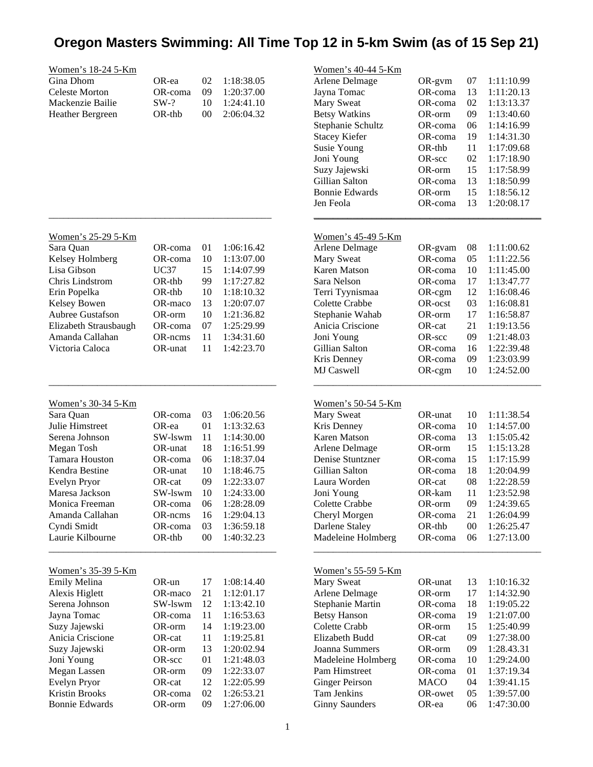## **Oregon Masters Swimming: All Time Top 12 in 5-km Swim (as of 15 Sep 21)**

|                           |             |        |            | Women's 40-44 5-Km        |             |    |            |
|---------------------------|-------------|--------|------------|---------------------------|-------------|----|------------|
| <u>Women's 18-24 5-Km</u> |             |        |            |                           |             |    |            |
| Gina Dhom                 | OR-ea       | 02     | 1:18:38.05 | Arlene Delmage            | OR-gym      | 07 | 1:11:10.99 |
| <b>Celeste Morton</b>     | OR-coma     | 09     | 1:20:37.00 | Jayna Tomac               | OR-coma     | 13 | 1:11:20.13 |
| Mackenzie Bailie          | $SW-?$      | 10     | 1:24:41.10 | Mary Sweat                | OR-coma     | 02 | 1:13:13.37 |
| Heather Bergreen          | OR-thb      | $00\,$ | 2:06:04.32 | <b>Betsy Watkins</b>      | OR-orm      | 09 | 1:13:40.60 |
|                           |             |        |            | Stephanie Schultz         | OR-coma     | 06 | 1:14:16.99 |
|                           |             |        |            | <b>Stacey Kiefer</b>      | OR-coma     | 19 | 1:14:31.30 |
|                           |             |        |            | Susie Young               | OR-thb      | 11 | 1:17:09.68 |
|                           |             |        |            | Joni Young                | OR-scc      | 02 | 1:17:18.90 |
|                           |             |        |            | Suzy Jajewski             | OR-orm      | 15 | 1:17:58.99 |
|                           |             |        |            | Gillian Salton            | OR-coma     | 13 | 1:18:50.99 |
|                           |             |        |            | <b>Bonnie Edwards</b>     | OR-orm      | 15 | 1:18:56.12 |
|                           |             |        |            | Jen Feola                 | OR-coma     | 13 | 1:20:08.17 |
|                           |             |        |            |                           |             |    |            |
| Women's 25-29 5-Km        |             |        |            | Women's 45-49 5-Km        |             |    |            |
| Sara Quan                 | OR-coma     | 01     | 1:06:16.42 | Arlene Delmage            | OR-gvam     | 08 | 1:11:00.62 |
| Kelsey Holmberg           | OR-coma     | 10     | 1:13:07.00 | Mary Sweat                | OR-coma     | 05 | 1:11:22.56 |
| Lisa Gibson               | <b>UC37</b> | 15     | 1:14:07.99 | <b>Karen Matson</b>       | OR-coma     | 10 | 1:11:45.00 |
| Chris Lindstrom           | OR-thb      | 99     | 1:17:27.82 | Sara Nelson               | OR-coma     | 17 | 1:13:47.77 |
| Erin Popelka              | OR-thb      | 10     | 1:18:10.32 | Terri Tyynismaa           | OR-cgm      | 12 | 1:16:08.46 |
| Kelsey Bowen              | OR-maco     | 13     | 1:20:07.07 | Colette Crabbe            | OR-ocst     | 03 | 1:16:08.81 |
| Aubree Gustafson          | OR-orm      | 10     | 1:21:36.82 | Stephanie Wahab           | OR-orm      | 17 | 1:16:58.87 |
| Elizabeth Strausbaugh     | OR-coma     | 07     | 1:25:29.99 | Anicia Criscione          | OR-cat      | 21 | 1:19:13.56 |
| Amanda Callahan           | OR-ncms     | 11     | 1:34:31.60 | Joni Young                | OR-scc      | 09 | 1:21:48.03 |
| Victoria Caloca           | OR-unat     | 11     | 1:42:23.70 | Gillian Salton            | OR-coma     | 16 | 1:22:39.48 |
|                           |             |        |            |                           |             | 09 |            |
|                           |             |        |            | Kris Denney               | OR-coma     |    | 1:23:03.99 |
|                           |             |        |            | MJ Caswell                | OR-cgm      | 10 | 1:24:52.00 |
| Women's 30-34 5-Km        |             |        |            | <u>Women's 50-54 5-Km</u> |             |    |            |
| Sara Quan                 | OR-coma     | 03     | 1:06:20.56 | Mary Sweat                | OR-unat     | 10 | 1:11:38.54 |
| Julie Himstreet           | OR-ea       | 01     | 1:13:32.63 | Kris Denney               | OR-coma     | 10 | 1:14:57.00 |
| Serena Johnson            | SW-lswm     | 11     | 1:14:30.00 | Karen Matson              | OR-coma     | 13 | 1:15:05.42 |
| Megan Tosh                | OR-unat     | 18     | 1:16:51.99 | Arlene Delmage            | OR-orm      | 15 | 1:15:13.28 |
| Tamara Houston            |             |        | 1:18:37.04 | Denise Stuntzner          |             |    |            |
|                           | OR-coma     | 06     |            |                           | OR-coma     | 15 | 1:17:15.99 |
| Kendra Bestine            | OR-unat     | 10     | 1:18:46.75 | Gillian Salton            | OR-coma     | 18 | 1:20:04.99 |
| Evelyn Pryor              | OR-cat      | 09     | 1:22:33.07 | Laura Worden              | OR-cat      | 08 | 1:22:28.59 |
| Maresa Jackson            | SW-lswm     | 10     | 1:24:33.00 | Joni Young                | OR-kam      | 11 | 1:23:52.98 |
| Monica Freeman            | OR-coma     | 06     | 1:28:28.09 | Colette Crabbe            | OR-orm      | 09 | 1:24:39.65 |
| Amanda Callahan           | OR-ncms     | 16     | 1:29:04.13 | Cheryl Morgen             | OR-coma     | 21 | 1:26:04.99 |
| Cyndi Smidt               | OR-coma     | 03     | 1:36:59.18 | Darlene Staley            | OR-thb      | 00 | 1:26:25.47 |
| Laurie Kilbourne          | OR-thb      | $00\,$ | 1:40:32.23 | Madeleine Holmberg        | OR-coma     | 06 | 1:27:13.00 |
|                           |             |        |            |                           |             |    |            |
| <u>Women's 35-39 5-Km</u> |             |        |            | <u>Women's 55-59 5-Km</u> |             |    |            |
| Emily Melina              | OR-un       | 17     | 1:08:14.40 | Mary Sweat                | OR-unat     | 13 | 1:10:16.32 |
| Alexis Higlett            | OR-maco     | 21     | 1:12:01.17 | Arlene Delmage            | OR-orm      | 17 | 1:14:32.90 |
| Serena Johnson            | SW-lswm     | 12     | 1:13:42.10 | Stephanie Martin          | OR-coma     | 18 | 1:19:05.22 |
| Jayna Tomac               | OR-coma     | 11     | 1:16:53.63 | <b>Betsy Hanson</b>       | OR-coma     | 19 | 1:21:07.00 |
| Suzy Jajewski             | OR-orm      | 14     | 1:19:23.00 | Colette Crabb             | OR-orm      | 15 | 1:25:40.99 |
| Anicia Criscione          | OR-cat      | 11     | 1:19:25.81 | Elizabeth Budd            | OR-cat      | 09 | 1:27:38.00 |
| Suzy Jajewski             | OR-orm      | 13     | 1:20:02.94 | Joanna Summers            | OR-orm      | 09 | 1:28.43.31 |
| Joni Young                | OR-scc      | 01     | 1:21:48.03 | Madeleine Holmberg        | OR-coma     | 10 | 1:29:24.00 |
| Megan Lassen              | OR-orm      | 09     | 1:22:33.07 | Pam Himstreet             | OR-coma     | 01 | 1:37:19.34 |
| Evelyn Pryor              | OR-cat      | 12     | 1:22:05.99 | <b>Ginger Peirson</b>     | <b>MACO</b> | 04 | 1:39:41.15 |
| <b>Kristin Brooks</b>     | OR-coma     | 02     | 1:26:53.21 | Tam Jenkins               | OR-owet     | 05 | 1:39:57.00 |
| <b>Bonnie Edwards</b>     | OR-orm      | 09     | 1:27:06.00 | <b>Ginny Saunders</b>     | OR-ea       | 06 | 1:47:30.00 |
|                           |             |        |            |                           |             |    |            |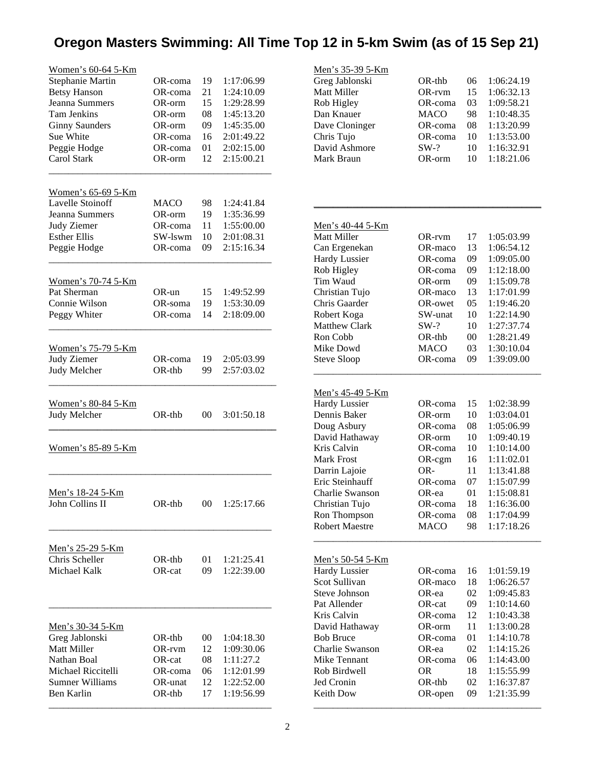## **Oregon Masters Swimming: All Time Top 12 in 5-km Swim (as of 15 Sep 21)**

| Women's 60-64 5-Km                        |                   |          |                          |
|-------------------------------------------|-------------------|----------|--------------------------|
| Stephanie Martin                          | OR-coma           | 19       | 1:17:06.99               |
| <b>Betsy Hanson</b>                       | OR-coma           | 21       | 1:24:10.09               |
| Jeanna Summers                            | OR-orm            | 15       | 1:29:28.99               |
| Tam Jenkins                               | OR-orm            | 08       | 1:45:13.20               |
| <b>Ginny Saunders</b>                     | OR-orm            | 09       | 1:45:35.00               |
| <b>Sue White</b>                          | OR-coma           | 16       | 2:01:49.22               |
| Peggie Hodge                              | OR-coma           | 01       | 2:02:15.00               |
| Carol Stark                               | OR-orm            | 12       | 2:15:00.21               |
| <u>Women's 65-69 5-Km</u>                 |                   |          |                          |
| Lavelle Stoinoff                          | <b>MACO</b>       | 98       | 1:24:41.84               |
| Jeanna Summers                            | OR-orm            | 19       | 1:35:36.99               |
| Judy Ziemer                               | OR-coma           | 11       | 1:55:00.00               |
| <b>Esther Ellis</b>                       | SW-lswm           | 10       | 2:01:08.31               |
| Peggie Hodge                              | OR-coma           | 09       | 2:15:16.34               |
| <u>Women's 70-74 5-Km</u>                 |                   |          |                          |
| Pat Sherman                               | $OR$ -un          | 15       | 1:49:52.99               |
| Connie Wilson                             | OR-soma           | 19       | 1:53:30.09               |
| Peggy Whiter                              | OR-coma           | 14       | 2:18:09.00               |
|                                           |                   |          |                          |
| <u>Women's 75-79 5-Km</u>                 |                   |          |                          |
| Judy Ziemer                               | OR-coma           | 19       | 2:05:03.99<br>2:57:03.02 |
| Judy Melcher                              | $OR-thb$          | 99       |                          |
| <u>Women's 80-84 5-Km</u>                 |                   |          |                          |
| Judy Melcher                              | $OR-thb$          | 00       | 3:01:50.18               |
| Women's 85-89 5-Km                        |                   |          |                          |
| <u>Men's 18-24 5-Km</u>                   |                   |          |                          |
| John Collins II                           | OR-thb            | $00\,$   | 1:25:17.66               |
| Men's 25-29 5-Km                          |                   |          |                          |
| Chris Scheller                            | OR-thb            | 01       | 1:21:25.41               |
| Michael Kalk                              | OR-cat            | 09       | 1:22:39.00               |
|                                           |                   |          |                          |
| <u>Men's 30-34 5-Km</u><br>Greg Jablonski | OR-thb            | $00\,$   | 1:04:18.30               |
| <b>Matt Miller</b>                        |                   |          |                          |
|                                           |                   |          |                          |
|                                           | OR-rvm            | 12       | 1:09:30.06               |
| Nathan Boal                               | OR-cat            | 08       | 1:11:27.2                |
| Michael Riccitelli                        | OR-coma           | 06       | 1:12:01.99               |
| Sumner Williams<br>Ben Karlin             | OR-unat<br>OR-thb | 12<br>17 | 1:22:52.00<br>1:19:56.99 |

| Men's 35-39 5-Km        |             |        |            |  |
|-------------------------|-------------|--------|------------|--|
| Greg Jablonski          | OR-thb      | 06     | 1:06:24.19 |  |
| Matt Miller             | OR-rvm      | 15     | 1:06:32.13 |  |
| Rob Higley              | OR-coma     | 03     | 1:09:58.21 |  |
| Dan Knauer              | <b>MACO</b> | 98     | 1:10:48.35 |  |
| Dave Cloninger          | OR-coma     | 08     | 1:13:20.99 |  |
| Chris Tujo              | OR-coma     | 10     | 1:13:53.00 |  |
| David Ashmore           | $SW-?$      | 10     | 1:16:32.91 |  |
| Mark Braun              | OR-orm      | 10     | 1:18:21.06 |  |
|                         |             |        |            |  |
|                         |             |        |            |  |
| <u>Men's 40-44 5-Km</u> |             |        |            |  |
| Matt Miller             | OR-rvm      | 17     | 1:05:03.99 |  |
| Can Ergenekan           | OR-maco     | 13     | 1:06:54.12 |  |
| <b>Hardy Lussier</b>    | OR-coma     | 09     | 1:09:05.00 |  |
| Rob Higley              | OR-coma     | 09     | 1:12:18.00 |  |
| Tim Waud                | OR-orm      | 09     | 1:15:09.78 |  |
| Christian Tujo          | OR-maco     | 13     | 1:17:01.99 |  |
| Chris Gaarder           | OR-owet     | 05     | 1:19:46.20 |  |
| Robert Koga             | SW-unat     | 10     | 1:22:14.90 |  |
| <b>Matthew Clark</b>    | $SW-?$      | 10     | 1:27:37.74 |  |
| Ron Cobb                | OR-thb      | $00\,$ | 1:28:21.49 |  |
| Mike Dowd               | <b>MACO</b> | 03     | 1:30:10.04 |  |
| <b>Steve Sloop</b>      | OR-coma     | 09     | 1:39:09.00 |  |
| <u>Men's 45-49 5-Km</u> |             |        |            |  |
| <b>Hardy Lussier</b>    | OR-coma     | 15     | 1:02:38.99 |  |
| Dennis Baker            | OR-orm      | 10     | 1:03:04.01 |  |
| Doug Asbury             | OR-coma     | 08     | 1:05:06.99 |  |
| David Hathaway          | OR-orm      | 10     | 1:09:40.19 |  |
| Kris Calvin             | OR-coma     | 10     | 1:10:14.00 |  |
| <b>Mark Frost</b>       | OR-cgm      | 16     | 1:11:02.01 |  |
| Darrin Lajoie           | OR-         | 11     | 1:13:41.88 |  |
| Eric Steinhauff         | OR-coma     | 07     | 1:15:07.99 |  |
| Charlie Swanson         | OR-ea       | 01     | 1:15:08.81 |  |
| Christian Tujo          | OR-coma     | 18     | 1:16:36.00 |  |
| Ron Thompson            | OR-coma     | 08     | 1:17:04.99 |  |
| <b>Robert Maestre</b>   | <b>MACO</b> | 98     | 1:17:18.26 |  |
| <u>Men's 50-54 5-Km</u> |             |        |            |  |
| <b>Hardy Lussier</b>    | OR-coma     | 16     | 1:01:59.19 |  |
| Scot Sullivan           | OR-maco     | 18     | 1:06:26.57 |  |
| Steve Johnson           | OR-ea       | 02     | 1:09:45.83 |  |
| Pat Allender            | OR-cat      | 09     | 1:10:14.60 |  |
| Kris Calvin             | OR-coma     | 12     | 1:10:43.38 |  |
| David Hathaway          | OR-orm      | 11     | 1:13:00.28 |  |
| <b>Bob Bruce</b>        | OR-coma     | 01     | 1:14:10.78 |  |
| Charlie Swanson         | OR-ea       | 02     | 1:14:15.26 |  |
| Mike Tennant            | OR-coma     | 06     | 1:14:43.00 |  |
| Rob Birdwell            | <b>OR</b>   | 18     | 1:15:55.99 |  |
| Jed Cronin              | OR-thb      | 02     | 1:16:37.87 |  |
| Keith Dow               | OR-open     | 09     | 1:21:35.99 |  |